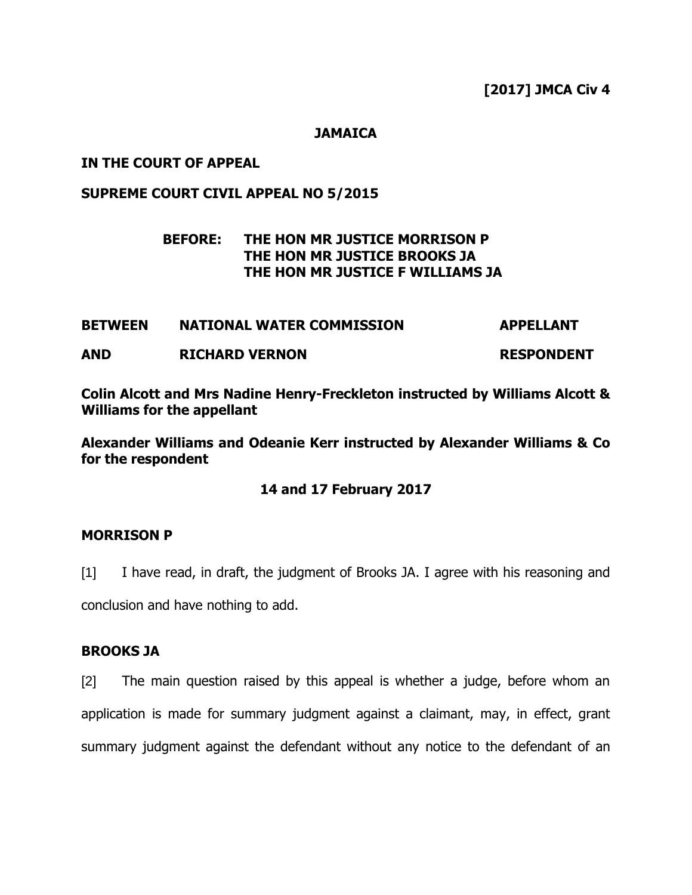## **JAMAICA**

# **IN THE COURT OF APPEAL**

# **SUPREME COURT CIVIL APPEAL NO 5/2015**

# **BEFORE: THE HON MR JUSTICE MORRISON P THE HON MR JUSTICE BROOKS JA THE HON MR JUSTICE F WILLIAMS JA**

# **BETWEEN NATIONAL WATER COMMISSION APPELLANT AND RICHARD VERNON RESPONDENT**

**Colin Alcott and Mrs Nadine Henry-Freckleton instructed by Williams Alcott & Williams for the appellant**

**Alexander Williams and Odeanie Kerr instructed by Alexander Williams & Co for the respondent**

# **14 and 17 February 2017**

#### **MORRISON P**

[1] I have read, in draft, the judgment of Brooks JA. I agree with his reasoning and conclusion and have nothing to add.

# **BROOKS JA**

[2] The main question raised by this appeal is whether a judge, before whom an application is made for summary judgment against a claimant, may, in effect, grant summary judgment against the defendant without any notice to the defendant of an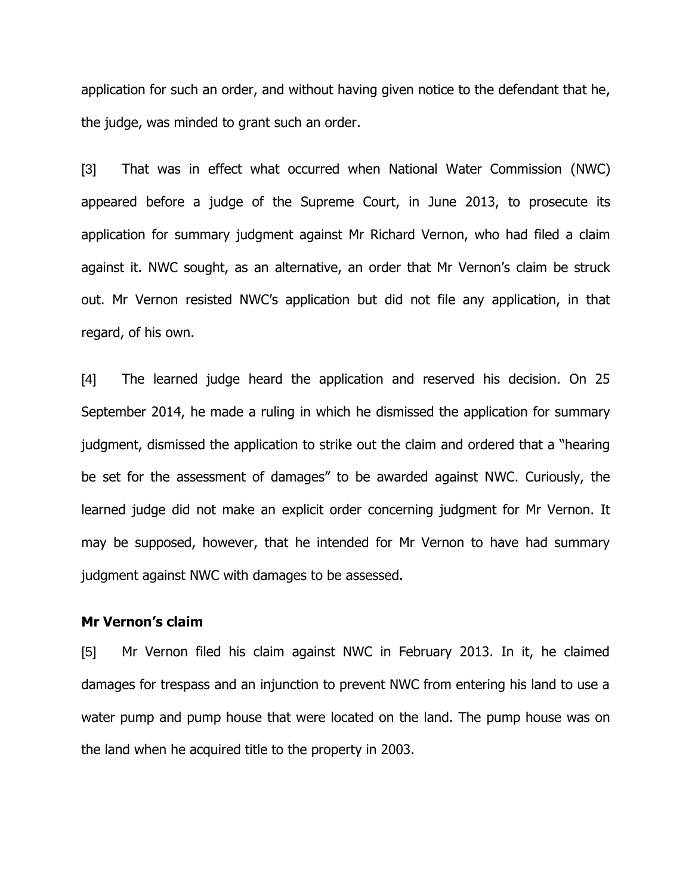application for such an order, and without having given notice to the defendant that he, the judge, was minded to grant such an order.

[3] That was in effect what occurred when National Water Commission (NWC) appeared before a judge of the Supreme Court, in June 2013, to prosecute its application for summary judgment against Mr Richard Vernon, who had filed a claim against it. NWC sought, as an alternative, an order that Mr Vernon's claim be struck out. Mr Vernon resisted NWC's application but did not file any application, in that regard, of his own.

[4] The learned judge heard the application and reserved his decision. On 25 September 2014, he made a ruling in which he dismissed the application for summary judgment, dismissed the application to strike out the claim and ordered that a "hearing be set for the assessment of damages" to be awarded against NWC. Curiously, the learned judge did not make an explicit order concerning judgment for Mr Vernon. It may be supposed, however, that he intended for Mr Vernon to have had summary judgment against NWC with damages to be assessed.

#### **Mr Vernon's claim**

[5] Mr Vernon filed his claim against NWC in February 2013. In it, he claimed damages for trespass and an injunction to prevent NWC from entering his land to use a water pump and pump house that were located on the land. The pump house was on the land when he acquired title to the property in 2003.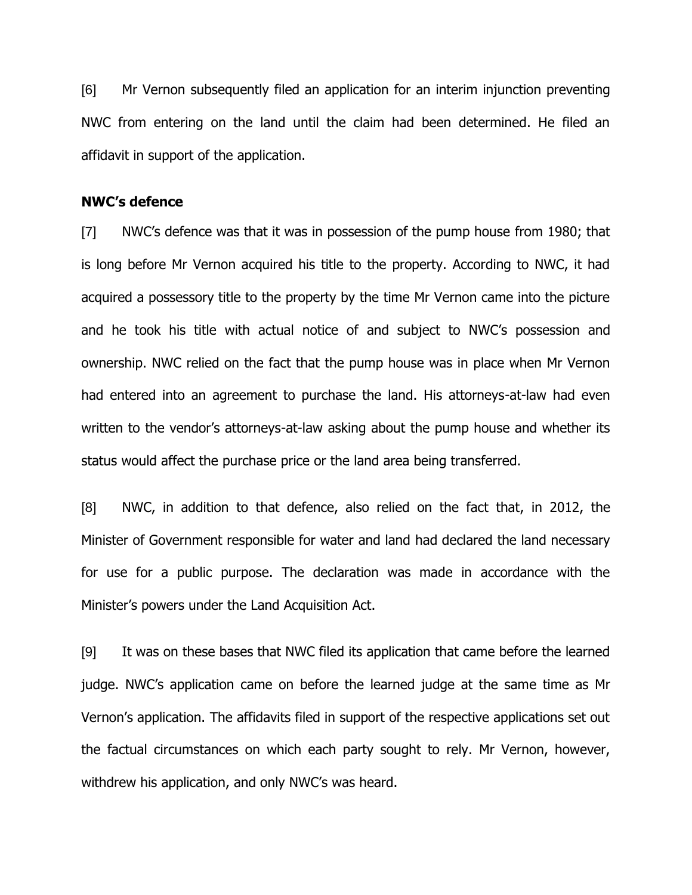[6] Mr Vernon subsequently filed an application for an interim injunction preventing NWC from entering on the land until the claim had been determined. He filed an affidavit in support of the application.

#### **NWC's defence**

[7] NWC's defence was that it was in possession of the pump house from 1980; that is long before Mr Vernon acquired his title to the property. According to NWC, it had acquired a possessory title to the property by the time Mr Vernon came into the picture and he took his title with actual notice of and subject to NWC's possession and ownership. NWC relied on the fact that the pump house was in place when Mr Vernon had entered into an agreement to purchase the land. His attorneys-at-law had even written to the vendor's attorneys-at-law asking about the pump house and whether its status would affect the purchase price or the land area being transferred.

[8] NWC, in addition to that defence, also relied on the fact that, in 2012, the Minister of Government responsible for water and land had declared the land necessary for use for a public purpose. The declaration was made in accordance with the Minister's powers under the Land Acquisition Act.

[9] It was on these bases that NWC filed its application that came before the learned judge. NWC's application came on before the learned judge at the same time as Mr Vernon's application. The affidavits filed in support of the respective applications set out the factual circumstances on which each party sought to rely. Mr Vernon, however, withdrew his application, and only NWC's was heard.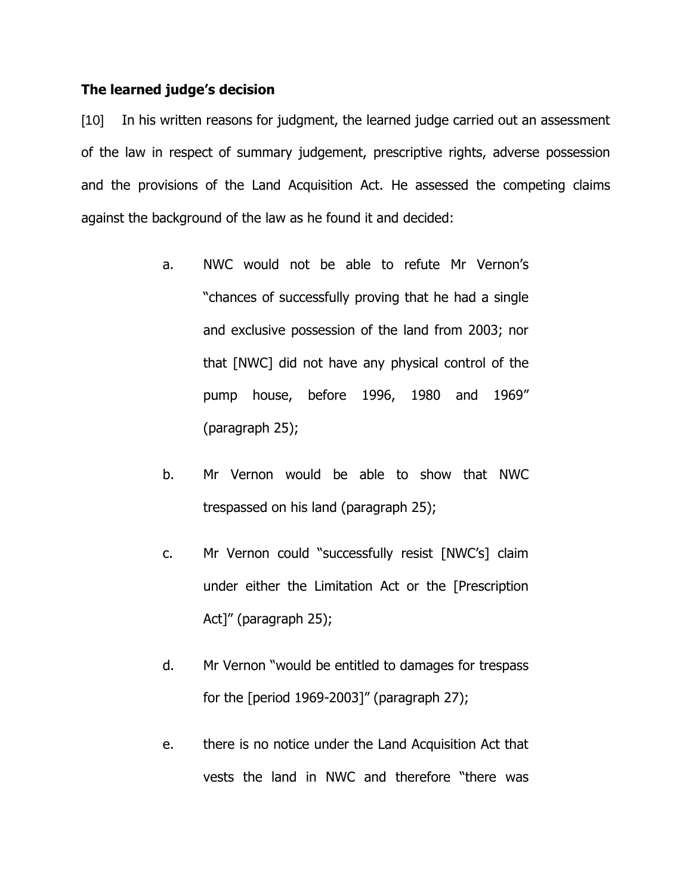#### **The learned judge's decision**

[10] In his written reasons for judgment, the learned judge carried out an assessment of the law in respect of summary judgement, prescriptive rights, adverse possession and the provisions of the Land Acquisition Act. He assessed the competing claims against the background of the law as he found it and decided:

- a. NWC would not be able to refute Mr Vernon's "chances of successfully proving that he had a single and exclusive possession of the land from 2003; nor that [NWC] did not have any physical control of the pump house, before 1996, 1980 and 1969" (paragraph 25);
- b. Mr Vernon would be able to show that NWC trespassed on his land (paragraph 25);
- c. Mr Vernon could "successfully resist [NWC's] claim under either the Limitation Act or the [Prescription Act]" (paragraph 25);
- d. Mr Vernon "would be entitled to damages for trespass for the [period 1969-2003]" (paragraph 27);
- e. there is no notice under the Land Acquisition Act that vests the land in NWC and therefore "there was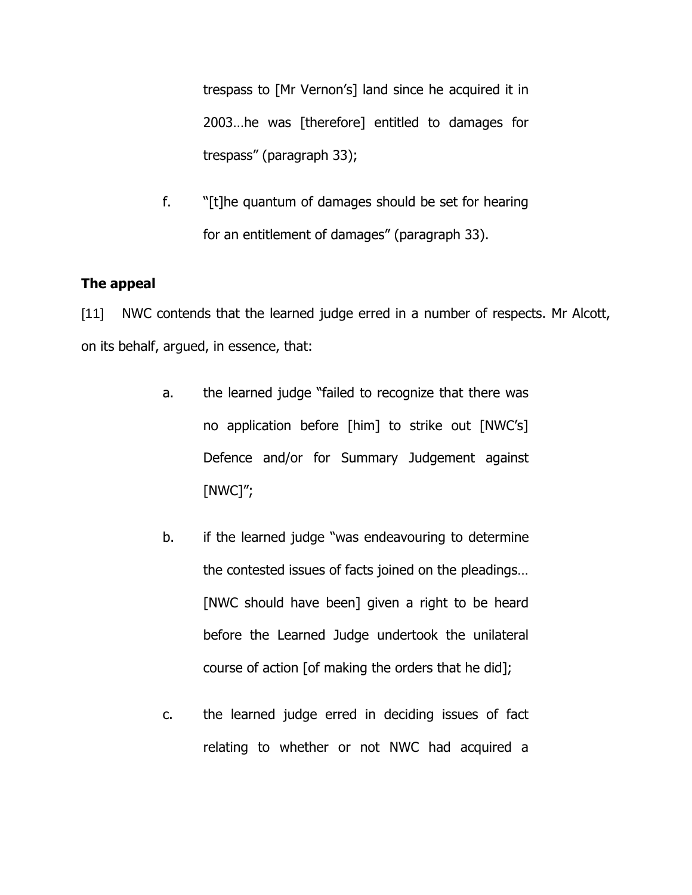trespass to [Mr Vernon's] land since he acquired it in 2003…he was [therefore] entitled to damages for trespass" (paragraph 33);

f. "[t]he quantum of damages should be set for hearing for an entitlement of damages" (paragraph 33).

# **The appeal**

[11] NWC contends that the learned judge erred in a number of respects. Mr Alcott, on its behalf, argued, in essence, that:

- a. the learned judge "failed to recognize that there was no application before [him] to strike out [NWC's] Defence and/or for Summary Judgement against [NWC]";
- b. if the learned judge "was endeavouring to determine the contested issues of facts joined on the pleadings… [NWC should have been] given a right to be heard before the Learned Judge undertook the unilateral course of action [of making the orders that he did];
- c. the learned judge erred in deciding issues of fact relating to whether or not NWC had acquired a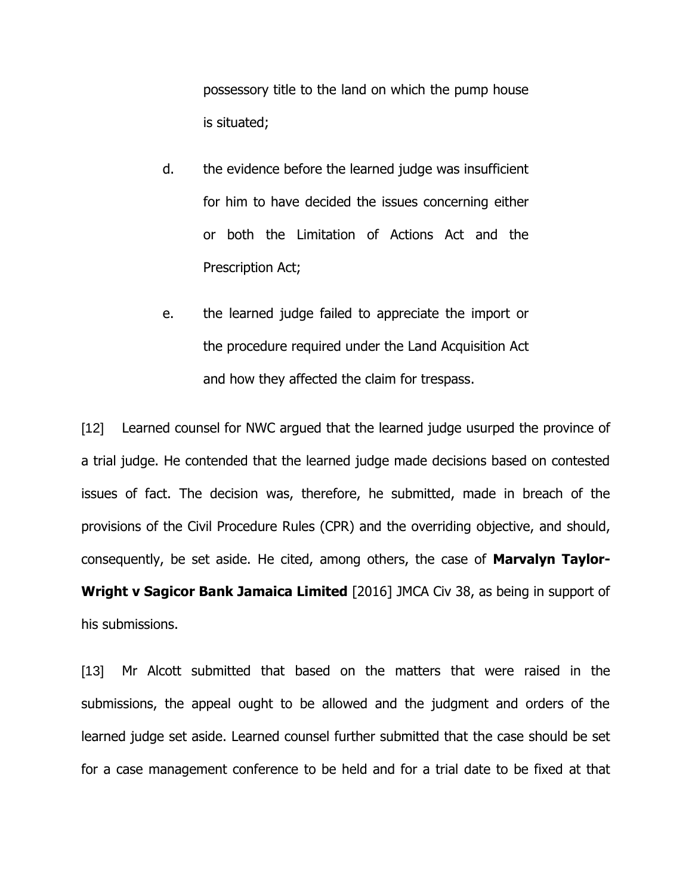possessory title to the land on which the pump house is situated;

- d. the evidence before the learned judge was insufficient for him to have decided the issues concerning either or both the Limitation of Actions Act and the Prescription Act;
- e. the learned judge failed to appreciate the import or the procedure required under the Land Acquisition Act and how they affected the claim for trespass.

[12] Learned counsel for NWC argued that the learned judge usurped the province of a trial judge. He contended that the learned judge made decisions based on contested issues of fact. The decision was, therefore, he submitted, made in breach of the provisions of the Civil Procedure Rules (CPR) and the overriding objective, and should, consequently, be set aside. He cited, among others, the case of **Marvalyn Taylor-Wright v Sagicor Bank Jamaica Limited** [2016] JMCA Civ 38, as being in support of his submissions.

[13] Mr Alcott submitted that based on the matters that were raised in the submissions, the appeal ought to be allowed and the judgment and orders of the learned judge set aside. Learned counsel further submitted that the case should be set for a case management conference to be held and for a trial date to be fixed at that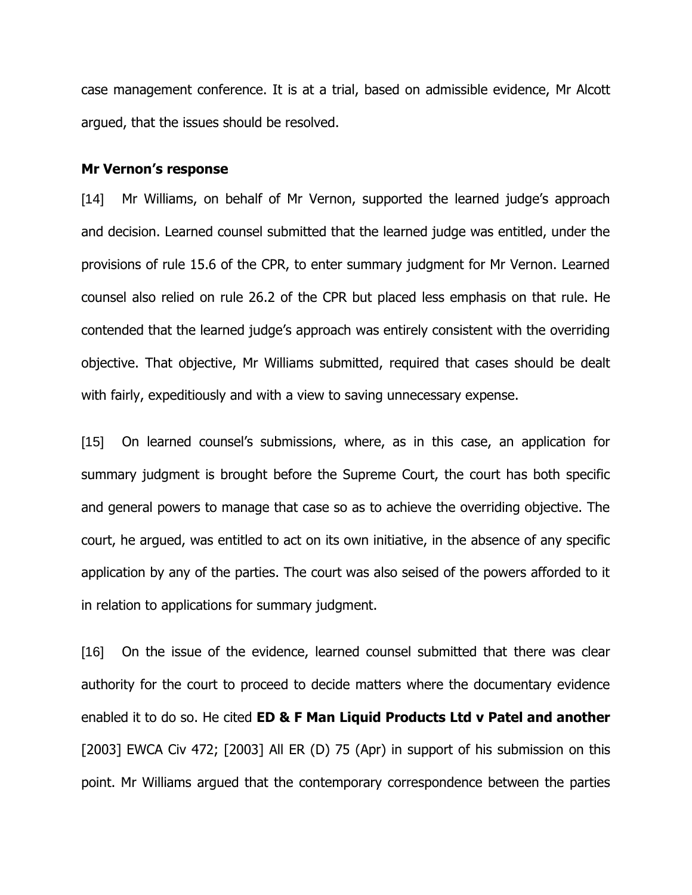case management conference. It is at a trial, based on admissible evidence, Mr Alcott argued, that the issues should be resolved.

#### **Mr Vernon's response**

[14] Mr Williams, on behalf of Mr Vernon, supported the learned judge's approach and decision. Learned counsel submitted that the learned judge was entitled, under the provisions of rule 15.6 of the CPR, to enter summary judgment for Mr Vernon. Learned counsel also relied on rule 26.2 of the CPR but placed less emphasis on that rule. He contended that the learned judge's approach was entirely consistent with the overriding objective. That objective, Mr Williams submitted, required that cases should be dealt with fairly, expeditiously and with a view to saving unnecessary expense.

[15] On learned counsel's submissions, where, as in this case, an application for summary judgment is brought before the Supreme Court, the court has both specific and general powers to manage that case so as to achieve the overriding objective. The court, he argued, was entitled to act on its own initiative, in the absence of any specific application by any of the parties. The court was also seised of the powers afforded to it in relation to applications for summary judgment.

[16] On the issue of the evidence, learned counsel submitted that there was clear authority for the court to proceed to decide matters where the documentary evidence enabled it to do so. He cited **ED & F Man Liquid Products Ltd v Patel and another** [2003] EWCA Civ 472; [2003] All ER (D) 75 (Apr) in support of his submission on this point. Mr Williams argued that the contemporary correspondence between the parties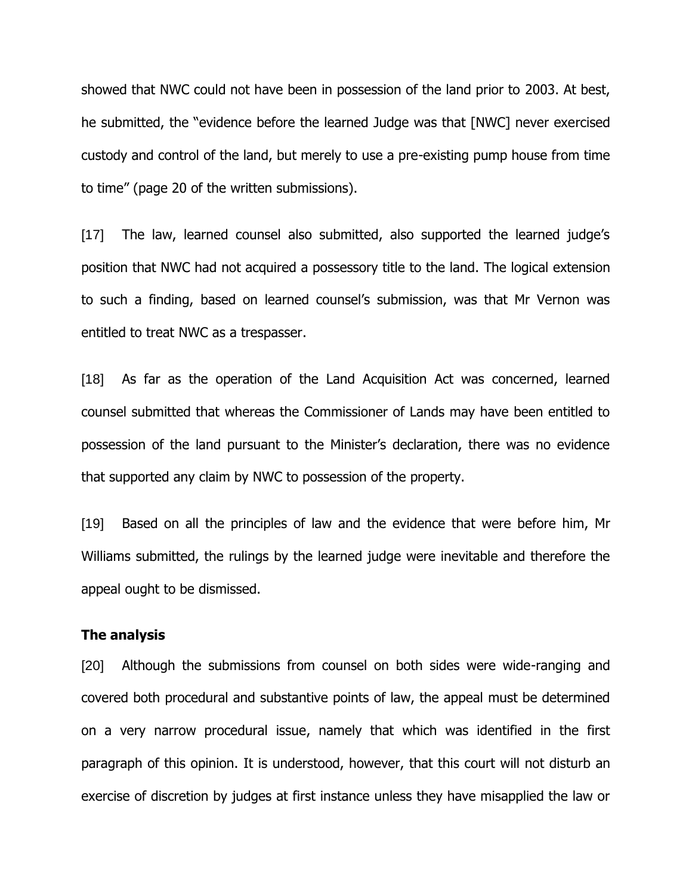showed that NWC could not have been in possession of the land prior to 2003. At best, he submitted, the "evidence before the learned Judge was that [NWC] never exercised custody and control of the land, but merely to use a pre-existing pump house from time to time" (page 20 of the written submissions).

[17] The law, learned counsel also submitted, also supported the learned judge's position that NWC had not acquired a possessory title to the land. The logical extension to such a finding, based on learned counsel's submission, was that Mr Vernon was entitled to treat NWC as a trespasser.

[18] As far as the operation of the Land Acquisition Act was concerned, learned counsel submitted that whereas the Commissioner of Lands may have been entitled to possession of the land pursuant to the Minister's declaration, there was no evidence that supported any claim by NWC to possession of the property.

[19] Based on all the principles of law and the evidence that were before him, Mr Williams submitted, the rulings by the learned judge were inevitable and therefore the appeal ought to be dismissed.

#### **The analysis**

[20] Although the submissions from counsel on both sides were wide-ranging and covered both procedural and substantive points of law, the appeal must be determined on a very narrow procedural issue, namely that which was identified in the first paragraph of this opinion. It is understood, however, that this court will not disturb an exercise of discretion by judges at first instance unless they have misapplied the law or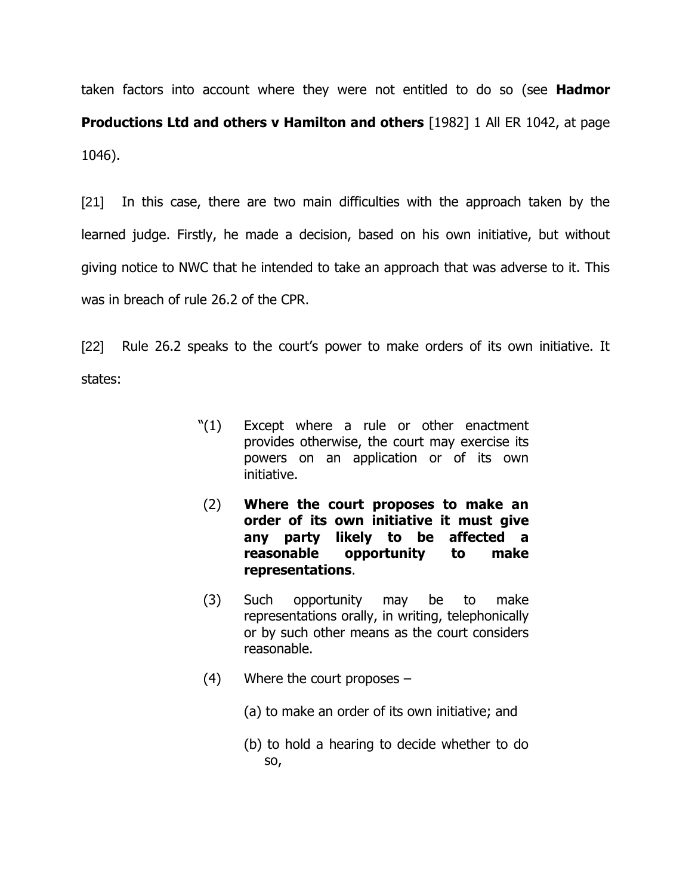taken factors into account where they were not entitled to do so (see **Hadmor Productions Ltd and others v Hamilton and others** [1982] 1 All ER 1042, at page 1046).

[21] In this case, there are two main difficulties with the approach taken by the learned judge. Firstly, he made a decision, based on his own initiative, but without giving notice to NWC that he intended to take an approach that was adverse to it. This was in breach of rule 26.2 of the CPR.

[22] Rule 26.2 speaks to the court's power to make orders of its own initiative. It states:

- "(1) Except where a rule or other enactment provides otherwise, the court may exercise its powers on an application or of its own initiative.
- (2) **Where the court proposes to make an order of its own initiative it must give any party likely to be affected a reasonable opportunity to make representations**.
- (3) Such opportunity may be to make representations orally, in writing, telephonically or by such other means as the court considers reasonable.
- (4) Where the court proposes
	- (a) to make an order of its own initiative; and
	- (b) to hold a hearing to decide whether to do so,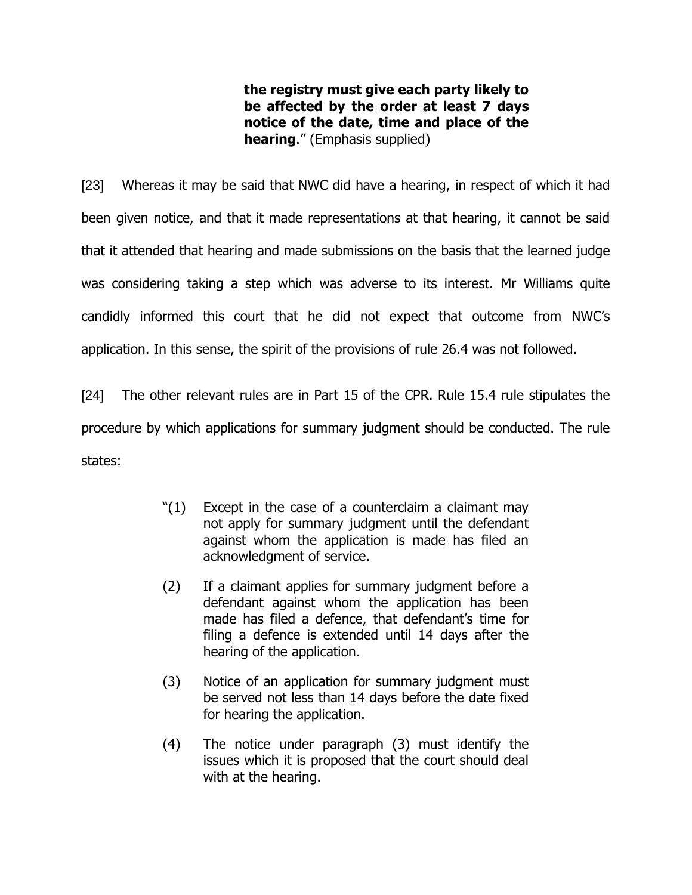**the registry must give each party likely to be affected by the order at least 7 days notice of the date, time and place of the hearing**." (Emphasis supplied)

[23] Whereas it may be said that NWC did have a hearing, in respect of which it had been given notice, and that it made representations at that hearing, it cannot be said that it attended that hearing and made submissions on the basis that the learned judge was considering taking a step which was adverse to its interest. Mr Williams quite candidly informed this court that he did not expect that outcome from NWC's application. In this sense, the spirit of the provisions of rule 26.4 was not followed.

[24] The other relevant rules are in Part 15 of the CPR. Rule 15.4 rule stipulates the procedure by which applications for summary judgment should be conducted. The rule states:

- $"(1)$  Except in the case of a counterclaim a claimant may not apply for summary judgment until the defendant against whom the application is made has filed an acknowledgment of service.
- (2) If a claimant applies for summary judgment before a defendant against whom the application has been made has filed a defence, that defendant's time for filing a defence is extended until 14 days after the hearing of the application.
- (3) Notice of an application for summary judgment must be served not less than 14 days before the date fixed for hearing the application.
- (4) The notice under paragraph (3) must identify the issues which it is proposed that the court should deal with at the hearing.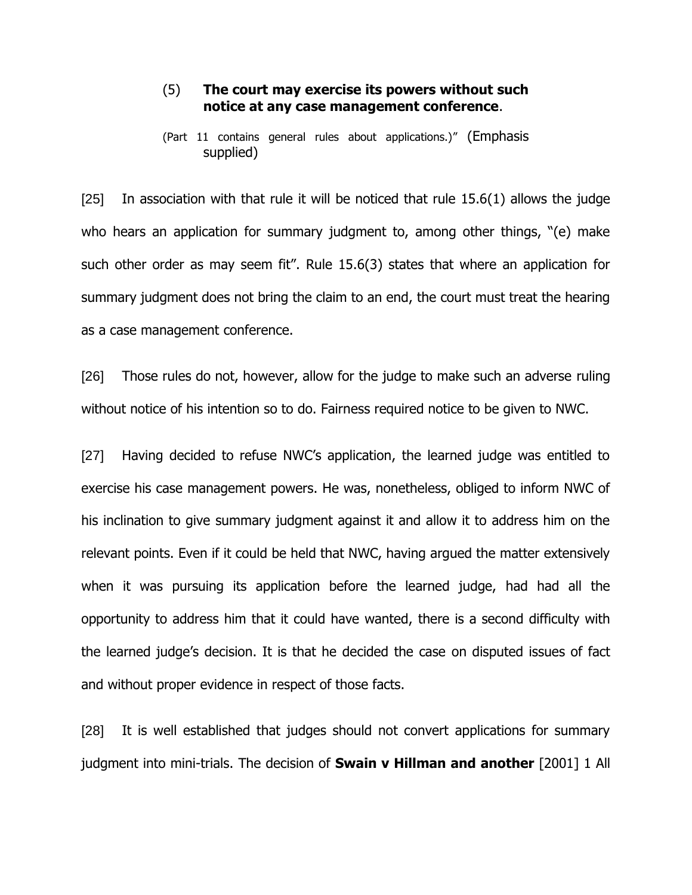#### (5) **The court may exercise its powers without such notice at any case management conference**.

(Part 11 contains general rules about applications.)" (Emphasis supplied)

 $[25]$  In association with that rule it will be noticed that rule 15.6(1) allows the judge who hears an application for summary judgment to, among other things, "(e) make such other order as may seem fit". Rule 15.6(3) states that where an application for summary judgment does not bring the claim to an end, the court must treat the hearing as a case management conference.

[26] Those rules do not, however, allow for the judge to make such an adverse ruling without notice of his intention so to do. Fairness required notice to be given to NWC.

[27] Having decided to refuse NWC's application, the learned judge was entitled to exercise his case management powers. He was, nonetheless, obliged to inform NWC of his inclination to give summary judgment against it and allow it to address him on the relevant points. Even if it could be held that NWC, having argued the matter extensively when it was pursuing its application before the learned judge, had had all the opportunity to address him that it could have wanted, there is a second difficulty with the learned judge's decision. It is that he decided the case on disputed issues of fact and without proper evidence in respect of those facts.

[28] It is well established that judges should not convert applications for summary judgment into mini-trials. The decision of **Swain v Hillman and another** [2001] 1 All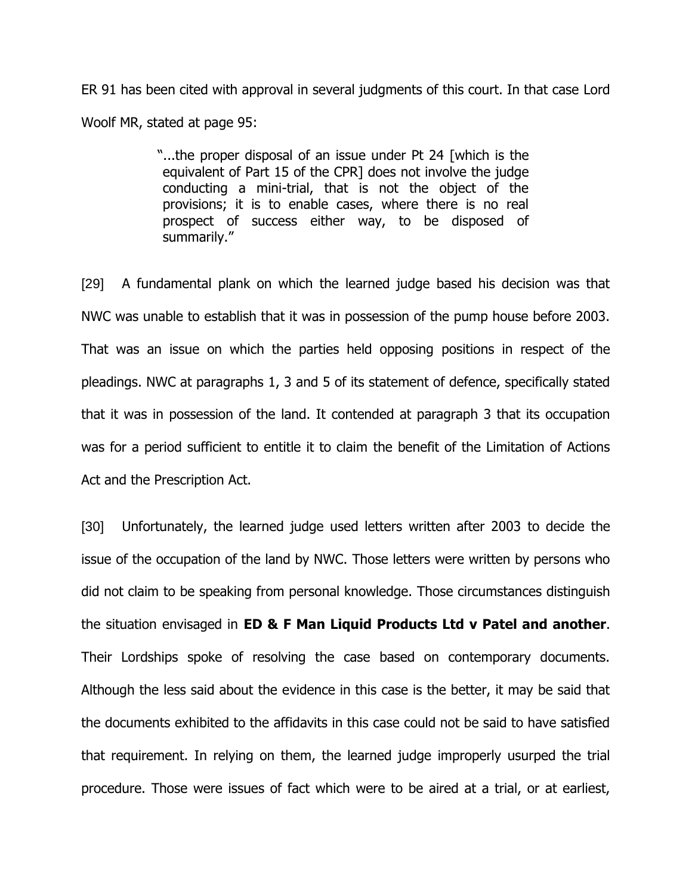ER 91 has been cited with approval in several judgments of this court. In that case Lord Woolf MR, stated at page 95:

> "...the proper disposal of an issue under Pt 24 [which is the equivalent of Part 15 of the CPR] does not involve the judge conducting a mini-trial, that is not the object of the provisions; it is to enable cases, where there is no real prospect of success either way, to be disposed of summarily."

[29] A fundamental plank on which the learned judge based his decision was that NWC was unable to establish that it was in possession of the pump house before 2003. That was an issue on which the parties held opposing positions in respect of the pleadings. NWC at paragraphs 1, 3 and 5 of its statement of defence, specifically stated that it was in possession of the land. It contended at paragraph 3 that its occupation was for a period sufficient to entitle it to claim the benefit of the Limitation of Actions Act and the Prescription Act.

[30] Unfortunately, the learned judge used letters written after 2003 to decide the issue of the occupation of the land by NWC. Those letters were written by persons who did not claim to be speaking from personal knowledge. Those circumstances distinguish the situation envisaged in **ED & F Man Liquid Products Ltd v Patel and another**. Their Lordships spoke of resolving the case based on contemporary documents. Although the less said about the evidence in this case is the better, it may be said that the documents exhibited to the affidavits in this case could not be said to have satisfied that requirement. In relying on them, the learned judge improperly usurped the trial procedure. Those were issues of fact which were to be aired at a trial, or at earliest,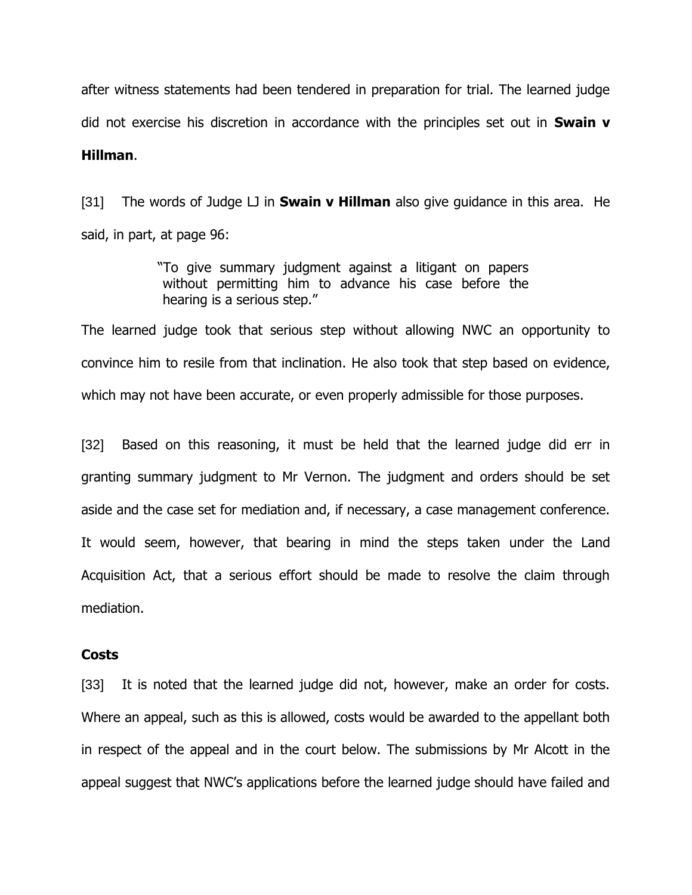after witness statements had been tendered in preparation for trial. The learned judge did not exercise his discretion in accordance with the principles set out in **Swain v Hillman**.

[31] The words of Judge LJ in **Swain v Hillman** also give guidance in this area. He said, in part, at page 96:

> "To give summary judgment against a litigant on papers without permitting him to advance his case before the hearing is a serious step."

The learned judge took that serious step without allowing NWC an opportunity to convince him to resile from that inclination. He also took that step based on evidence, which may not have been accurate, or even properly admissible for those purposes.

[32] Based on this reasoning, it must be held that the learned judge did err in granting summary judgment to Mr Vernon. The judgment and orders should be set aside and the case set for mediation and, if necessary, a case management conference. It would seem, however, that bearing in mind the steps taken under the Land Acquisition Act, that a serious effort should be made to resolve the claim through mediation.

#### **Costs**

[33] It is noted that the learned judge did not, however, make an order for costs. Where an appeal, such as this is allowed, costs would be awarded to the appellant both in respect of the appeal and in the court below. The submissions by Mr Alcott in the appeal suggest that NWC's applications before the learned judge should have failed and